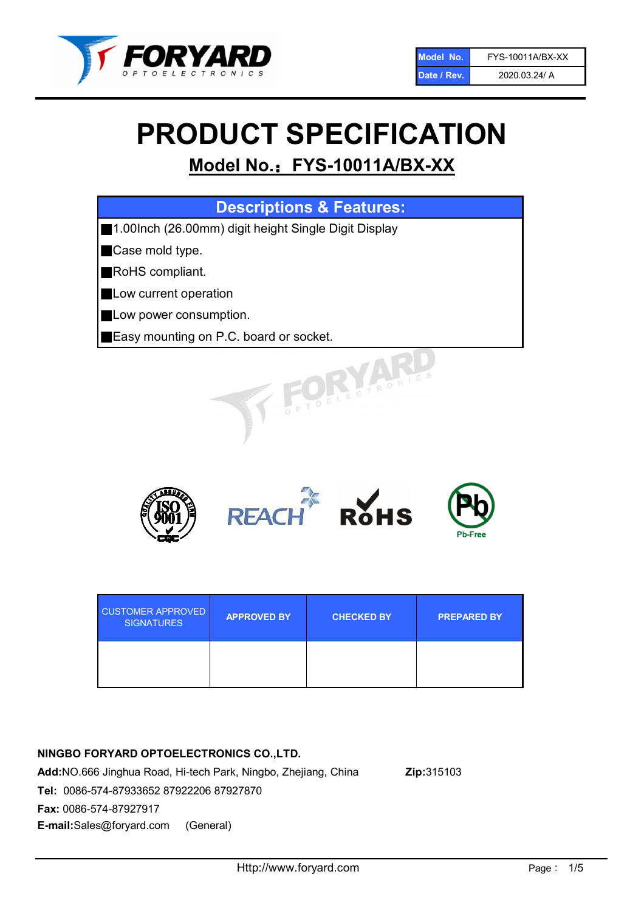

# PRODUCT SPECIFICATION

# Model No.: FYS-10011A/BX-XX

| <b>Descriptions &amp; Features:</b>                  |  |  |  |
|------------------------------------------------------|--|--|--|
| 1.00lnch (26.00mm) digit height Single Digit Display |  |  |  |
| Case mold type.<br>╿╽                                |  |  |  |
| RoHS compliant.                                      |  |  |  |
| Low current operation<br>Ш                           |  |  |  |
| Low power consumption.                               |  |  |  |
| <b>Easy mounting on P.C. board or socket.</b>        |  |  |  |
| TOELECTRONIC                                         |  |  |  |



| <b>CUSTOMER APPROVED</b><br><b>SIGNATURES</b> | <b>APPROVED BY</b> | <b>CHECKED BY</b> | <b>PREPARED BY</b> |
|-----------------------------------------------|--------------------|-------------------|--------------------|
|                                               |                    |                   |                    |

# NINGBO FORYARD OPTOELECTRONICS CO.,LTD.

Add:NO.666 Jinghua Road, Hi-tech Park, Ningbo, Zhejiang, China Zip:315103 Tel: 0086-574-87933652 87922206 87927870 Fax: 0086-574-87927917 E-mail:Sales@foryard.com (General)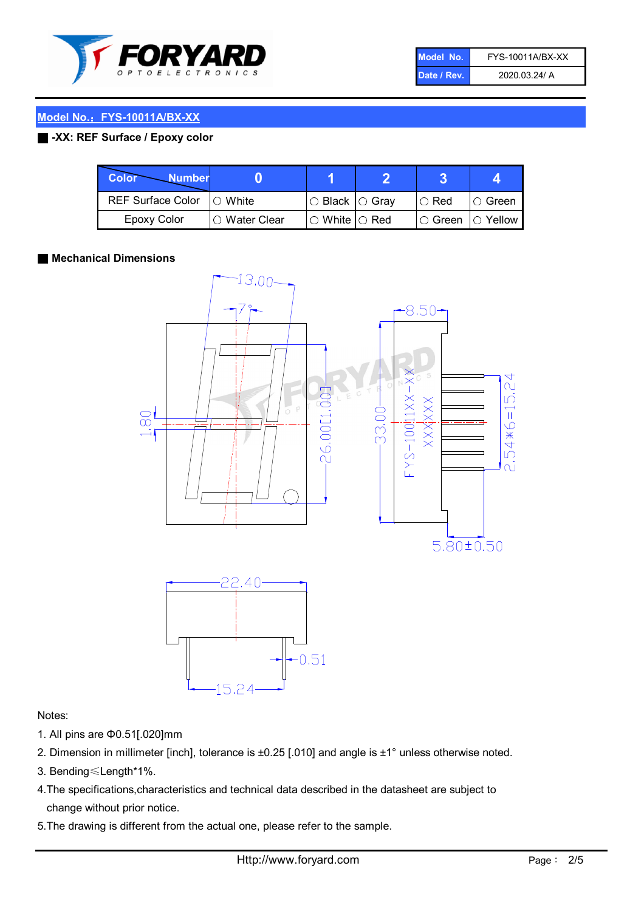

| Model No.   | FYS-10011A/BX-XX |
|-------------|------------------|
| Date / Rev. | 2020.03.24/ A    |

#### Model No.: FYS-10011A/BX-XX

#### ■ -XX: REF Surface / Epoxy color

| Color<br><b>Number</b>     |                |                           |             |                |
|----------------------------|----------------|---------------------------|-------------|----------------|
| REF Surface Color  ○ White |                | ○ Black  ○ Gray           | $\circ$ Red | ∣O Green       |
| Epoxy Color                | I∩ Water Clear | $\circ$ White $\circ$ Red | I⊖ Green    | $\circ$ Yellow |

#### ■ Mechanical Dimensions



#### Notes:

- 1. All pins are Φ0.51[.020]mm
- 2. Dimension in millimeter [inch], tolerance is ±0.25 [.010] and angle is ±1° unless otherwise noted.
- 3. Bending≤Length\*1%.
- 4.The specifications,characteristics and technical data described in the datasheet are subject to change without prior notice.
- 5.The drawing is different from the actual one, please refer to the sample.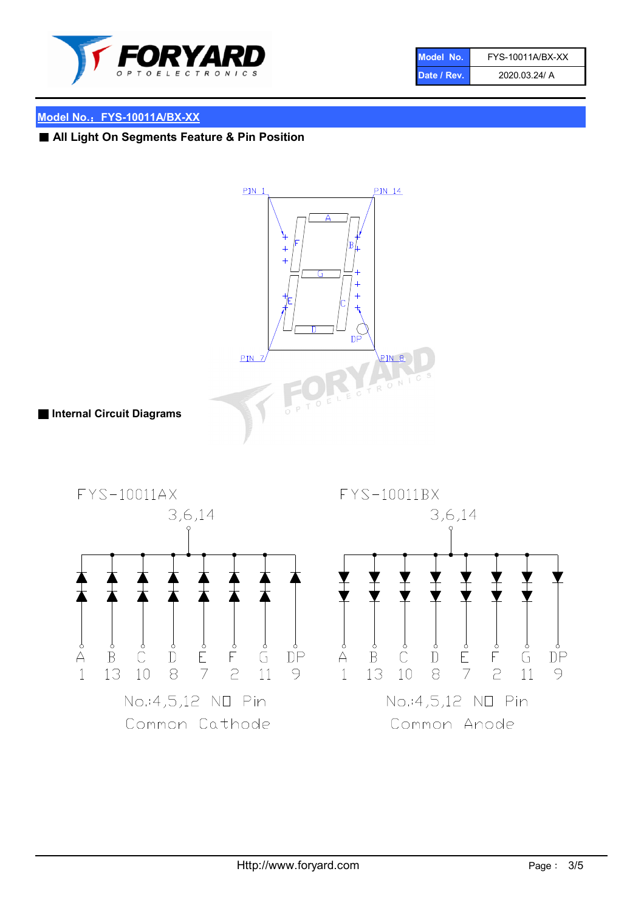

| Model No.   | FYS-10011A/BX-XX |
|-------------|------------------|
| Date / Rev. | 2020.03.24/ A    |

#### Model No.: FYS-10011A/BX-XX

■ All Light On Segments Feature & Pin Position

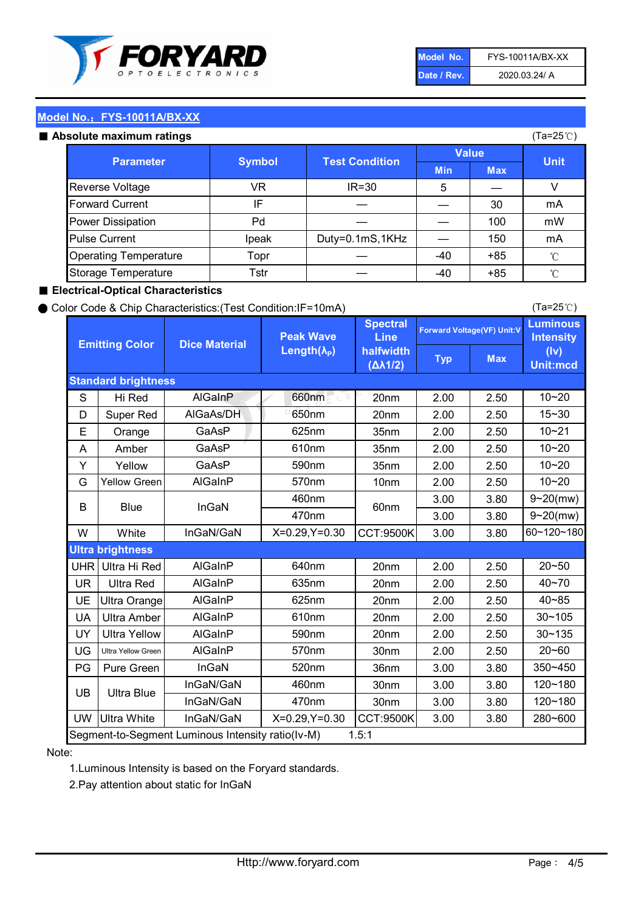

| Model No.   | FYS-10011A/BX-XX |
|-------------|------------------|
| Date / Rev. | 2020.03.24/ A    |

(Ta=25℃)

# Model No.: FYS-10011A/BX-XX

|  | Absolute maximum ratings |  |
|--|--------------------------|--|

| <b>psolute maximum ratings</b> |               |                       |              |            | (Ta=25℃)     |
|--------------------------------|---------------|-----------------------|--------------|------------|--------------|
|                                |               |                       | <b>Value</b> |            |              |
| <b>Parameter</b>               | <b>Symbol</b> | <b>Test Condition</b> | <b>Min</b>   | <b>Max</b> | <b>Unit</b>  |
| Reverse Voltage                | VR            | $IR = 30$             | 5            |            | V            |
| <b>Forward Current</b>         | IF            |                       |              | 30         | mA           |
| Power Dissipation              | Pd            |                       |              | 100        | mW           |
| <b>Pulse Current</b>           | Ipeak         | Duty=0.1mS,1KHz       |              | 150        | mA           |
| <b>Operating Temperature</b>   | Topr          |                       | $-40$        | $+85$      | $^{\circ}$ C |
| Storage Temperature            | Tstr          |                       | -40          | $+85$      | $^{\circ}$ C |

#### ■ Electrical-Optical Characteristics

#### ● Color Code & Chip Characteristics:(Test Condition:IF=10mA)

Typ Max S | Hi $\textsf{Red}$  | AlGaInP | 660nm LE 20nm | 2.00 | 2.50 D | Super Red | AIGaAs/DH | 650nm | 20nm | 2.00 | 2.50 E | Orange | GaAsP | 625nm | 35nm | 2.00 | 2.50 A | Amber | GaAsP | 610nm | 35nm | 2.00 | 2.50 Y | Yellow | GaAsP | 590nm | 35nm | 2.00 | 2.50 G Yellow Green AIGaInP | 570nm | 10nm | 2.00 | 2.50 3.00 3.80 3.00 3.80 W | White | InGaN/GaN | X=0.29,Y=0.30 |CCT:9500K| 3.00 | 3.80 UHR Ultra Hi Red | AlGaInP | 640nm | 20nm | 2.00 | 2.50 UR | Ultra Red | AlGaInP | 635nm | 20nm | 2.00 | 2.50 UE Ultra Orange | AIGaInP | 625nm | 20nm | 2.00 | 2.50 UA Ultra Amber | AIGaInP | 610nm | 20nm | 2.00 | 2.50  $UV$  Ultra Yellow  $\vert$  AlGaInP  $\vert$  590nm  $\vert$  20nm  $\vert$  2.00  $\vert$  2.50  $\text{UG}$  Ultra Yellow Green | AIGaInP | 570nm | 30nm | 2.00 | 2.50 PG Pure Green | InGaN | 520nm | 36nm | 3.00 | 3.80 30nm 3.00 3.80 30nm 3.00 3.80 UW |Ultra White | InGaN/GaN | X=0.29,Y=0.30 |CCT:9500K| 3.00 | 3.80 40~85 60~120~180 40~70 Segment-to-Segment Luminous Intensity ratio(Iv-M) 1.5:1 610nm 9~20(mw) 350~450 470nm 120~180 120~180 Ultra Blue InGaN/GaN InGaN/GaN 9~20(mw) 20~50 280~600 570nm | 30nm | 2.00 | 2.50 | 20~60 470nm 590nm InGaN/GaN B Blue I InGaN 570nm | 10nm | 2.00 | 2.50 | 10~20 30~105 30~135 460nm 520nm Ultra brightness **AlGaInP** AlGaInP 60nm AlGaInP 640nm Peak Wave Length $(\lambda_{\rm P})$ UB 460nm 635nm AlGaInP AlGaInP AlGaInP InGaN/GaN AlGaInP 10~20 Luminous **Intensity** (Iv) Unit:mcd AlGainP 660nm GaAsP GaAsP AlGaAs/DH **Spectral** Line halfwidth (∆λ1/2) 10~20 Standard brightness Forward Voltage(VF) Unit:V 15~30 10~20 625nm GaAsP 590nm **Emitting Color Dice Material** 10~21 610nm

#### Note:

1.Luminous Intensity is based on the Foryard standards.

2.Pay attention about static for InGaN